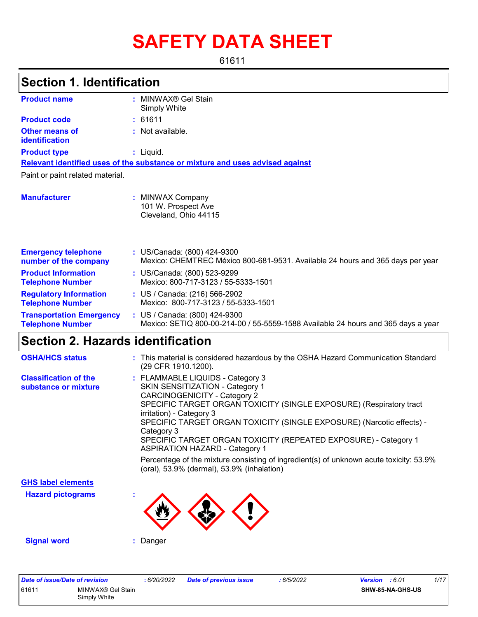# **SAFETY DATA SHEET**

61611

## **Section 1. Identification**

| <b>Product name</b>                                        | MINWAX <sup>®</sup> Gel Stain<br>Simply White                                                                      |
|------------------------------------------------------------|--------------------------------------------------------------------------------------------------------------------|
| <b>Product code</b>                                        | : 61611                                                                                                            |
| Other means of<br>identification                           | : Not available.                                                                                                   |
| <b>Product type</b>                                        | $:$ Liquid.                                                                                                        |
|                                                            | Relevant identified uses of the substance or mixture and uses advised against                                      |
| Paint or paint related material.                           |                                                                                                                    |
| <b>Manufacturer</b>                                        | : MINWAX Company<br>101 W. Prospect Ave<br>Cleveland, Ohio 44115                                                   |
| <b>Emergency telephone</b><br>number of the company        | : US/Canada: (800) 424-9300<br>Mexico: CHEMTREC México 800-681-9531. Available 24 hours and 365 days per year      |
| <b>Product Information</b><br><b>Telephone Number</b>      | : US/Canada: (800) 523-9299<br>Mexico: 800-717-3123 / 55-5333-1501                                                 |
| <b>Regulatory Information</b><br><b>Telephone Number</b>   | : US / Canada: (216) 566-2902<br>Mexico: 800-717-3123 / 55-5333-1501                                               |
| <b>Transportation Emergency</b><br><b>Telephone Number</b> | : US / Canada: (800) 424-9300<br>Mexico: SETIQ 800-00-214-00 / 55-5559-1588 Available 24 hours and 365 days a year |

## **Section 2. Hazards identification**

| <b>OSHA/HCS status</b>                               | : This material is considered hazardous by the OSHA Hazard Communication Standard<br>(29 CFR 1910.1200).                                                                                                                                                                                                                                                                                                                                                                                                          |
|------------------------------------------------------|-------------------------------------------------------------------------------------------------------------------------------------------------------------------------------------------------------------------------------------------------------------------------------------------------------------------------------------------------------------------------------------------------------------------------------------------------------------------------------------------------------------------|
| <b>Classification of the</b><br>substance or mixture | : FLAMMABLE LIQUIDS - Category 3<br><b>SKIN SENSITIZATION - Category 1</b><br><b>CARCINOGENICITY - Category 2</b><br>SPECIFIC TARGET ORGAN TOXICITY (SINGLE EXPOSURE) (Respiratory tract<br>irritation) - Category 3<br>SPECIFIC TARGET ORGAN TOXICITY (SINGLE EXPOSURE) (Narcotic effects) -<br>Category 3<br>SPECIFIC TARGET ORGAN TOXICITY (REPEATED EXPOSURE) - Category 1<br><b>ASPIRATION HAZARD - Category 1</b><br>Percentage of the mixture consisting of ingredient(s) of unknown acute toxicity: 53.9% |
|                                                      | (oral), 53.9% (dermal), 53.9% (inhalation)                                                                                                                                                                                                                                                                                                                                                                                                                                                                        |
| <b>GHS label elements</b>                            |                                                                                                                                                                                                                                                                                                                                                                                                                                                                                                                   |
| <b>Hazard pictograms</b>                             |                                                                                                                                                                                                                                                                                                                                                                                                                                                                                                                   |
| <b>Signal word</b>                                   | : Danger                                                                                                                                                                                                                                                                                                                                                                                                                                                                                                          |

| Date of issue/Date of revision |                                   | 6/20/2022 | <b>Date of previous issue</b> | 6/5/2022 | <b>Version</b> : 6.01 |                  | 1/17 |
|--------------------------------|-----------------------------------|-----------|-------------------------------|----------|-----------------------|------------------|------|
| 61611                          | MINWAX® Gel Stain<br>Simply White |           |                               |          |                       | SHW-85-NA-GHS-US |      |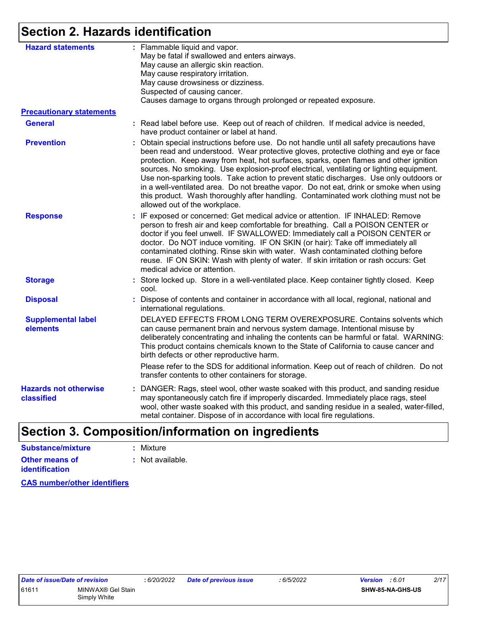## **Section 2. Hazards identification**

| <b>Hazard statements</b>                   | : Flammable liquid and vapor.<br>May be fatal if swallowed and enters airways.<br>May cause an allergic skin reaction.<br>May cause respiratory irritation.<br>May cause drowsiness or dizziness.<br>Suspected of causing cancer.<br>Causes damage to organs through prolonged or repeated exposure.                                                                                                                                                                                                                                                                                                                                                                                |
|--------------------------------------------|-------------------------------------------------------------------------------------------------------------------------------------------------------------------------------------------------------------------------------------------------------------------------------------------------------------------------------------------------------------------------------------------------------------------------------------------------------------------------------------------------------------------------------------------------------------------------------------------------------------------------------------------------------------------------------------|
| <b>Precautionary statements</b>            |                                                                                                                                                                                                                                                                                                                                                                                                                                                                                                                                                                                                                                                                                     |
| <b>General</b>                             | : Read label before use. Keep out of reach of children. If medical advice is needed,<br>have product container or label at hand.                                                                                                                                                                                                                                                                                                                                                                                                                                                                                                                                                    |
| <b>Prevention</b>                          | : Obtain special instructions before use. Do not handle until all safety precautions have<br>been read and understood. Wear protective gloves, protective clothing and eye or face<br>protection. Keep away from heat, hot surfaces, sparks, open flames and other ignition<br>sources. No smoking. Use explosion-proof electrical, ventilating or lighting equipment.<br>Use non-sparking tools. Take action to prevent static discharges. Use only outdoors or<br>in a well-ventilated area. Do not breathe vapor. Do not eat, drink or smoke when using<br>this product. Wash thoroughly after handling. Contaminated work clothing must not be<br>allowed out of the workplace. |
| <b>Response</b>                            | : IF exposed or concerned: Get medical advice or attention. IF INHALED: Remove<br>person to fresh air and keep comfortable for breathing. Call a POISON CENTER or<br>doctor if you feel unwell. IF SWALLOWED: Immediately call a POISON CENTER or<br>doctor. Do NOT induce vomiting. IF ON SKIN (or hair): Take off immediately all<br>contaminated clothing. Rinse skin with water. Wash contaminated clothing before<br>reuse. IF ON SKIN: Wash with plenty of water. If skin irritation or rash occurs: Get<br>medical advice or attention.                                                                                                                                      |
| <b>Storage</b>                             | : Store locked up. Store in a well-ventilated place. Keep container tightly closed. Keep<br>cool.                                                                                                                                                                                                                                                                                                                                                                                                                                                                                                                                                                                   |
| <b>Disposal</b>                            | : Dispose of contents and container in accordance with all local, regional, national and<br>international regulations.                                                                                                                                                                                                                                                                                                                                                                                                                                                                                                                                                              |
| <b>Supplemental label</b><br>elements      | DELAYED EFFECTS FROM LONG TERM OVEREXPOSURE. Contains solvents which<br>can cause permanent brain and nervous system damage. Intentional misuse by<br>deliberately concentrating and inhaling the contents can be harmful or fatal. WARNING:<br>This product contains chemicals known to the State of California to cause cancer and<br>birth defects or other reproductive harm.                                                                                                                                                                                                                                                                                                   |
|                                            | Please refer to the SDS for additional information. Keep out of reach of children. Do not<br>transfer contents to other containers for storage.                                                                                                                                                                                                                                                                                                                                                                                                                                                                                                                                     |
| <b>Hazards not otherwise</b><br>classified | : DANGER: Rags, steel wool, other waste soaked with this product, and sanding residue<br>may spontaneously catch fire if improperly discarded. Immediately place rags, steel<br>wool, other waste soaked with this product, and sanding residue in a sealed, water-filled,<br>metal container. Dispose of in accordance with local fire regulations.                                                                                                                                                                                                                                                                                                                                |

## **Section 3. Composition/information on ingredients**

| Substance/mixture                       | : Mixture        |
|-----------------------------------------|------------------|
| Other means of<br><b>identification</b> | : Not available. |
|                                         |                  |

**CAS number/other identifiers**

$$
\frac{1}{16}{5/2022}
$$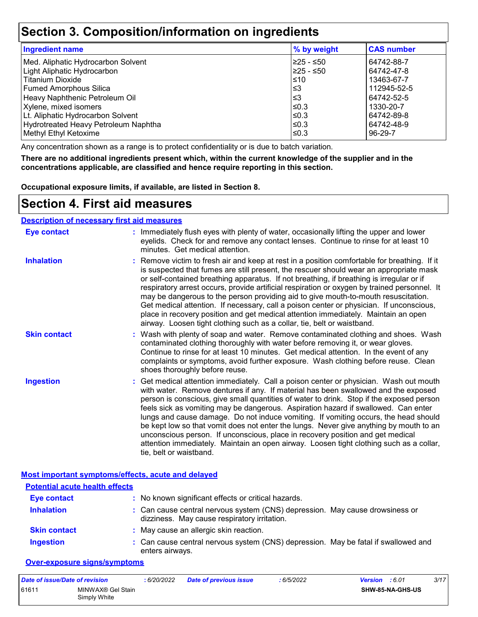### **Section 3. Composition/information on ingredients**

| <b>Ingredient name</b>               | % by weight | <b>CAS number</b> |
|--------------------------------------|-------------|-------------------|
| Med. Aliphatic Hydrocarbon Solvent   | 225 - ≤50   | 64742-88-7        |
| Light Aliphatic Hydrocarbon          | 225 - ≤50   | 64742-47-8        |
| <b>Titanium Dioxide</b>              | ≤10         | 13463-67-7        |
| <b>Fumed Amorphous Silica</b>        | l≤3         | 112945-52-5       |
| Heavy Naphthenic Petroleum Oil       | l≤3         | 64742-52-5        |
| Xylene, mixed isomers                | $\leq$ 0.3  | 1330-20-7         |
| Lt. Aliphatic Hydrocarbon Solvent    | $\leq$ 0.3  | 64742-89-8        |
| Hydrotreated Heavy Petroleum Naphtha | $\leq$ 0.3  | 64742-48-9        |
| Methyl Ethyl Ketoxime                | $\leq$ 0.3  | 96-29-7           |

Any concentration shown as a range is to protect confidentiality or is due to batch variation.

**There are no additional ingredients present which, within the current knowledge of the supplier and in the concentrations applicable, are classified and hence require reporting in this section.**

**Occupational exposure limits, if available, are listed in Section 8.**

### **Section 4. First aid measures**

#### **Description of necessary first aid measures**

| <b>Eye contact</b>  | : Immediately flush eyes with plenty of water, occasionally lifting the upper and lower<br>eyelids. Check for and remove any contact lenses. Continue to rinse for at least 10<br>minutes. Get medical attention.                                                                                                                                                                                                                                                                                                                                                                                                                                                                                                                                       |
|---------------------|---------------------------------------------------------------------------------------------------------------------------------------------------------------------------------------------------------------------------------------------------------------------------------------------------------------------------------------------------------------------------------------------------------------------------------------------------------------------------------------------------------------------------------------------------------------------------------------------------------------------------------------------------------------------------------------------------------------------------------------------------------|
| <b>Inhalation</b>   | : Remove victim to fresh air and keep at rest in a position comfortable for breathing. If it<br>is suspected that fumes are still present, the rescuer should wear an appropriate mask<br>or self-contained breathing apparatus. If not breathing, if breathing is irregular or if<br>respiratory arrest occurs, provide artificial respiration or oxygen by trained personnel. It<br>may be dangerous to the person providing aid to give mouth-to-mouth resuscitation.<br>Get medical attention. If necessary, call a poison center or physician. If unconscious,<br>place in recovery position and get medical attention immediately. Maintain an open<br>airway. Loosen tight clothing such as a collar, tie, belt or waistband.                    |
| <b>Skin contact</b> | : Wash with plenty of soap and water. Remove contaminated clothing and shoes. Wash<br>contaminated clothing thoroughly with water before removing it, or wear gloves.<br>Continue to rinse for at least 10 minutes. Get medical attention. In the event of any<br>complaints or symptoms, avoid further exposure. Wash clothing before reuse. Clean<br>shoes thoroughly before reuse.                                                                                                                                                                                                                                                                                                                                                                   |
| <b>Ingestion</b>    | : Get medical attention immediately. Call a poison center or physician. Wash out mouth<br>with water. Remove dentures if any. If material has been swallowed and the exposed<br>person is conscious, give small quantities of water to drink. Stop if the exposed person<br>feels sick as vomiting may be dangerous. Aspiration hazard if swallowed. Can enter<br>lungs and cause damage. Do not induce vomiting. If vomiting occurs, the head should<br>be kept low so that vomit does not enter the lungs. Never give anything by mouth to an<br>unconscious person. If unconscious, place in recovery position and get medical<br>attention immediately. Maintain an open airway. Loosen tight clothing such as a collar,<br>tie, belt or waistband. |

#### **Most important symptoms/effects, acute and delayed**

| <b>Potential acute health effects</b> |                                                                                                                              |
|---------------------------------------|------------------------------------------------------------------------------------------------------------------------------|
| <b>Eye contact</b>                    | : No known significant effects or critical hazards.                                                                          |
| <b>Inhalation</b>                     | : Can cause central nervous system (CNS) depression. May cause drowsiness or<br>dizziness. May cause respiratory irritation. |
| <b>Skin contact</b>                   | : May cause an allergic skin reaction.                                                                                       |
| <b>Ingestion</b>                      | : Can cause central nervous system (CNS) depression. May be fatal if swallowed and<br>enters airways.                        |

#### **Over-exposure signs/symptoms**

| Date of issue/Date of revision |                                   | : 6/20/2022 | <b>Date of previous issue</b> | : 6/5/2022 | <b>Version</b> : 6.01 |                  | 3/17 |
|--------------------------------|-----------------------------------|-------------|-------------------------------|------------|-----------------------|------------------|------|
| 61611                          | MINWAX® Gel Stain<br>Simply White |             |                               |            |                       | SHW-85-NA-GHS-US |      |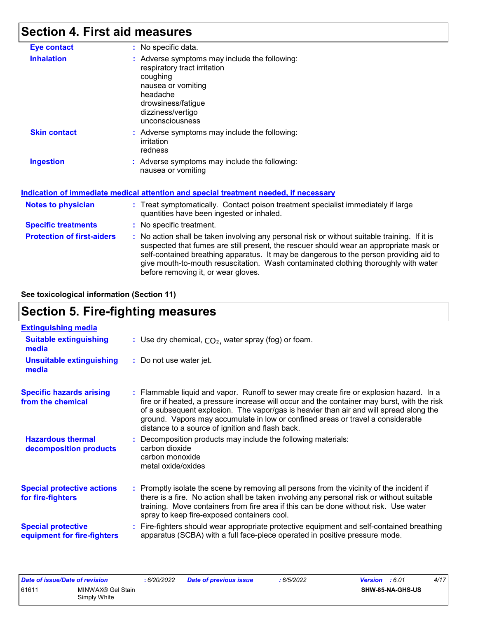## **Section 4. First aid measures**

| <b>Eye contact</b>                | : No specific data.                                                                                                                                                                                                                                                                                                                                                                                             |
|-----------------------------------|-----------------------------------------------------------------------------------------------------------------------------------------------------------------------------------------------------------------------------------------------------------------------------------------------------------------------------------------------------------------------------------------------------------------|
| <b>Inhalation</b>                 | : Adverse symptoms may include the following:<br>respiratory tract irritation<br>coughing<br>nausea or vomiting<br>headache<br>drowsiness/fatigue<br>dizziness/vertigo<br>unconsciousness                                                                                                                                                                                                                       |
| <b>Skin contact</b>               | : Adverse symptoms may include the following:<br>irritation<br>redness                                                                                                                                                                                                                                                                                                                                          |
| <b>Ingestion</b>                  | : Adverse symptoms may include the following:<br>nausea or vomiting                                                                                                                                                                                                                                                                                                                                             |
|                                   | Indication of immediate medical attention and special treatment needed, if necessary                                                                                                                                                                                                                                                                                                                            |
| <b>Notes to physician</b>         | : Treat symptomatically. Contact poison treatment specialist immediately if large<br>quantities have been ingested or inhaled.                                                                                                                                                                                                                                                                                  |
| <b>Specific treatments</b>        | : No specific treatment.                                                                                                                                                                                                                                                                                                                                                                                        |
| <b>Protection of first-aiders</b> | : No action shall be taken involving any personal risk or without suitable training. If it is<br>suspected that fumes are still present, the rescuer should wear an appropriate mask or<br>self-contained breathing apparatus. It may be dangerous to the person providing aid to<br>give mouth-to-mouth resuscitation. Wash contaminated clothing thoroughly with water<br>before removing it, or wear gloves. |

**See toxicological information (Section 11)**

## **Section 5. Fire-fighting measures**

| <b>Extinguishing media</b>                               |                                                                                                                                                                                                                                                                                                                                                                                                                          |
|----------------------------------------------------------|--------------------------------------------------------------------------------------------------------------------------------------------------------------------------------------------------------------------------------------------------------------------------------------------------------------------------------------------------------------------------------------------------------------------------|
| <b>Suitable extinguishing</b><br>media                   | : Use dry chemical, $CO2$ , water spray (fog) or foam.                                                                                                                                                                                                                                                                                                                                                                   |
| <b>Unsuitable extinguishing</b><br>media                 | : Do not use water jet.                                                                                                                                                                                                                                                                                                                                                                                                  |
| <b>Specific hazards arising</b><br>from the chemical     | : Flammable liquid and vapor. Runoff to sewer may create fire or explosion hazard. In a<br>fire or if heated, a pressure increase will occur and the container may burst, with the risk<br>of a subsequent explosion. The vapor/gas is heavier than air and will spread along the<br>ground. Vapors may accumulate in low or confined areas or travel a considerable<br>distance to a source of ignition and flash back. |
| <b>Hazardous thermal</b><br>decomposition products       | Decomposition products may include the following materials:<br>carbon dioxide<br>carbon monoxide<br>metal oxide/oxides                                                                                                                                                                                                                                                                                                   |
| <b>Special protective actions</b><br>for fire-fighters   | : Promptly isolate the scene by removing all persons from the vicinity of the incident if<br>there is a fire. No action shall be taken involving any personal risk or without suitable<br>training. Move containers from fire area if this can be done without risk. Use water<br>spray to keep fire-exposed containers cool.                                                                                            |
| <b>Special protective</b><br>equipment for fire-fighters | : Fire-fighters should wear appropriate protective equipment and self-contained breathing<br>apparatus (SCBA) with a full face-piece operated in positive pressure mode.                                                                                                                                                                                                                                                 |

| Date of issue/Date of revision |                   | 6/20/2022 | Date of previous issue | 6/5/2022 | 4/17<br>:6.01<br>Version |
|--------------------------------|-------------------|-----------|------------------------|----------|--------------------------|
| 61611                          | MINWAX® Gel Stain |           |                        |          | SHW-85-NA-GHS-US         |
|                                | Simply White      |           |                        |          |                          |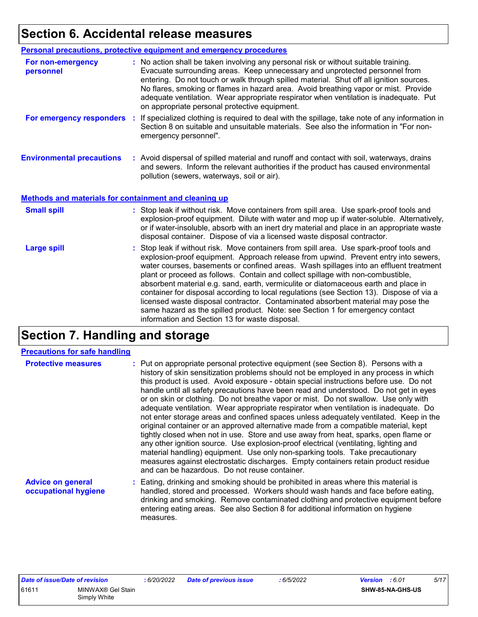## **Section 6. Accidental release measures**

|                                                       | Personal precautions, protective equipment and emergency procedures                                                                                                                                                                                                                                                                                                                                                                                                                                                                                                                                                                                                                                                |
|-------------------------------------------------------|--------------------------------------------------------------------------------------------------------------------------------------------------------------------------------------------------------------------------------------------------------------------------------------------------------------------------------------------------------------------------------------------------------------------------------------------------------------------------------------------------------------------------------------------------------------------------------------------------------------------------------------------------------------------------------------------------------------------|
| For non-emergency<br>personnel                        | : No action shall be taken involving any personal risk or without suitable training.<br>Evacuate surrounding areas. Keep unnecessary and unprotected personnel from<br>entering. Do not touch or walk through spilled material. Shut off all ignition sources.<br>No flares, smoking or flames in hazard area. Avoid breathing vapor or mist. Provide<br>adequate ventilation. Wear appropriate respirator when ventilation is inadequate. Put<br>on appropriate personal protective equipment.                                                                                                                                                                                                                    |
| For emergency responders                              | : If specialized clothing is required to deal with the spillage, take note of any information in<br>Section 8 on suitable and unsuitable materials. See also the information in "For non-<br>emergency personnel".                                                                                                                                                                                                                                                                                                                                                                                                                                                                                                 |
| <b>Environmental precautions</b>                      | : Avoid dispersal of spilled material and runoff and contact with soil, waterways, drains<br>and sewers. Inform the relevant authorities if the product has caused environmental<br>pollution (sewers, waterways, soil or air).                                                                                                                                                                                                                                                                                                                                                                                                                                                                                    |
| Methods and materials for containment and cleaning up |                                                                                                                                                                                                                                                                                                                                                                                                                                                                                                                                                                                                                                                                                                                    |
| <b>Small spill</b>                                    | : Stop leak if without risk. Move containers from spill area. Use spark-proof tools and<br>explosion-proof equipment. Dilute with water and mop up if water-soluble. Alternatively,<br>or if water-insoluble, absorb with an inert dry material and place in an appropriate waste<br>disposal container. Dispose of via a licensed waste disposal contractor.                                                                                                                                                                                                                                                                                                                                                      |
| <b>Large spill</b>                                    | : Stop leak if without risk. Move containers from spill area. Use spark-proof tools and<br>explosion-proof equipment. Approach release from upwind. Prevent entry into sewers,<br>water courses, basements or confined areas. Wash spillages into an effluent treatment<br>plant or proceed as follows. Contain and collect spillage with non-combustible,<br>absorbent material e.g. sand, earth, vermiculite or diatomaceous earth and place in<br>container for disposal according to local regulations (see Section 13). Dispose of via a<br>licensed waste disposal contractor. Contaminated absorbent material may pose the<br>same hazard as the spilled product. Note: see Section 1 for emergency contact |

## **Section 7. Handling and storage**

#### **Precautions for safe handling**

| <b>Protective measures</b>                       | : Put on appropriate personal protective equipment (see Section 8). Persons with a<br>history of skin sensitization problems should not be employed in any process in which<br>this product is used. Avoid exposure - obtain special instructions before use. Do not<br>handle until all safety precautions have been read and understood. Do not get in eyes<br>or on skin or clothing. Do not breathe vapor or mist. Do not swallow. Use only with<br>adequate ventilation. Wear appropriate respirator when ventilation is inadequate. Do<br>not enter storage areas and confined spaces unless adequately ventilated. Keep in the<br>original container or an approved alternative made from a compatible material, kept<br>tightly closed when not in use. Store and use away from heat, sparks, open flame or<br>any other ignition source. Use explosion-proof electrical (ventilating, lighting and<br>material handling) equipment. Use only non-sparking tools. Take precautionary<br>measures against electrostatic discharges. Empty containers retain product residue<br>and can be hazardous. Do not reuse container. |
|--------------------------------------------------|-------------------------------------------------------------------------------------------------------------------------------------------------------------------------------------------------------------------------------------------------------------------------------------------------------------------------------------------------------------------------------------------------------------------------------------------------------------------------------------------------------------------------------------------------------------------------------------------------------------------------------------------------------------------------------------------------------------------------------------------------------------------------------------------------------------------------------------------------------------------------------------------------------------------------------------------------------------------------------------------------------------------------------------------------------------------------------------------------------------------------------------|
| <b>Advice on general</b><br>occupational hygiene | : Eating, drinking and smoking should be prohibited in areas where this material is<br>handled, stored and processed. Workers should wash hands and face before eating,<br>drinking and smoking. Remove contaminated clothing and protective equipment before<br>entering eating areas. See also Section 8 for additional information on hygiene                                                                                                                                                                                                                                                                                                                                                                                                                                                                                                                                                                                                                                                                                                                                                                                    |

measures.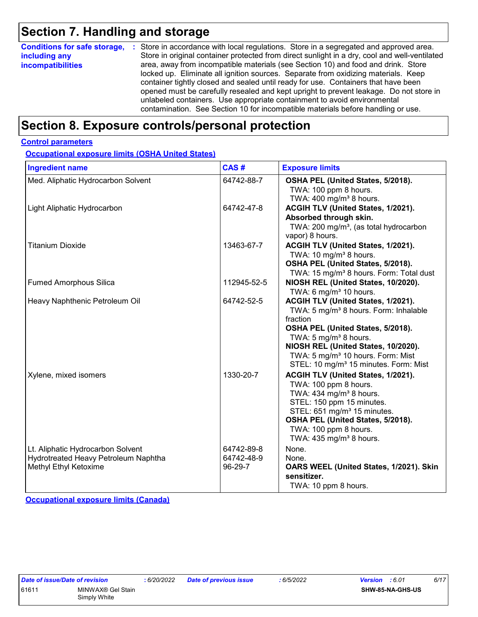### **Section 7. Handling and storage**

| <b>Conditions for safe storage,</b>       | : Store in accordance with local regulations. Store in a segregated and approved area.                                                                                                                                                                                                                                                                                                                                             |
|-------------------------------------------|------------------------------------------------------------------------------------------------------------------------------------------------------------------------------------------------------------------------------------------------------------------------------------------------------------------------------------------------------------------------------------------------------------------------------------|
| including any<br><i>incompatibilities</i> | Store in original container protected from direct sunlight in a dry, cool and well-ventilated<br>area, away from incompatible materials (see Section 10) and food and drink. Store                                                                                                                                                                                                                                                 |
|                                           | locked up. Eliminate all ignition sources. Separate from oxidizing materials. Keep<br>container tightly closed and sealed until ready for use. Containers that have been<br>opened must be carefully resealed and kept upright to prevent leakage. Do not store in<br>unlabeled containers. Use appropriate containment to avoid environmental<br>contamination. See Section 10 for incompatible materials before handling or use. |

### **Section 8. Exposure controls/personal protection**

#### **Control parameters**

**Occupational exposure limits (OSHA United States)**

| <b>Ingredient name</b>                                                                             | CAS#                                | <b>Exposure limits</b>                                                                                                                                                                                                                                                                                                     |
|----------------------------------------------------------------------------------------------------|-------------------------------------|----------------------------------------------------------------------------------------------------------------------------------------------------------------------------------------------------------------------------------------------------------------------------------------------------------------------------|
| Med. Aliphatic Hydrocarbon Solvent                                                                 | 64742-88-7                          | OSHA PEL (United States, 5/2018).<br>TWA: 100 ppm 8 hours.<br>TWA: $400 \text{ mg/m}^3$ 8 hours.                                                                                                                                                                                                                           |
| Light Aliphatic Hydrocarbon                                                                        | 64742-47-8                          | ACGIH TLV (United States, 1/2021).<br>Absorbed through skin.<br>TWA: 200 mg/m <sup>3</sup> , (as total hydrocarbon<br>vapor) 8 hours.                                                                                                                                                                                      |
| <b>Titanium Dioxide</b>                                                                            | 13463-67-7                          | ACGIH TLV (United States, 1/2021).<br>TWA: 10 mg/m <sup>3</sup> 8 hours.<br>OSHA PEL (United States, 5/2018).<br>TWA: 15 mg/m <sup>3</sup> 8 hours. Form: Total dust                                                                                                                                                       |
| <b>Fumed Amorphous Silica</b>                                                                      | 112945-52-5                         | NIOSH REL (United States, 10/2020).<br>TWA: 6 mg/m <sup>3</sup> 10 hours.                                                                                                                                                                                                                                                  |
| Heavy Naphthenic Petroleum Oil                                                                     | 64742-52-5                          | ACGIH TLV (United States, 1/2021).<br>TWA: 5 mg/m <sup>3</sup> 8 hours. Form: Inhalable<br>fraction<br>OSHA PEL (United States, 5/2018).<br>TWA: 5 mg/m <sup>3</sup> 8 hours.<br>NIOSH REL (United States, 10/2020).<br>TWA: 5 mg/m <sup>3</sup> 10 hours. Form: Mist<br>STEL: 10 mg/m <sup>3</sup> 15 minutes. Form: Mist |
| Xylene, mixed isomers                                                                              | 1330-20-7                           | ACGIH TLV (United States, 1/2021).<br>TWA: 100 ppm 8 hours.<br>TWA: 434 mg/m <sup>3</sup> 8 hours.<br>STEL: 150 ppm 15 minutes.<br>STEL: 651 mg/m <sup>3</sup> 15 minutes.<br>OSHA PEL (United States, 5/2018).<br>TWA: 100 ppm 8 hours.<br>TWA: $435 \text{ mg/m}^3$ 8 hours.                                             |
| Lt. Aliphatic Hydrocarbon Solvent<br>Hydrotreated Heavy Petroleum Naphtha<br>Methyl Ethyl Ketoxime | 64742-89-8<br>64742-48-9<br>96-29-7 | None.<br>None.<br>OARS WEEL (United States, 1/2021). Skin<br>sensitizer.<br>TWA: 10 ppm 8 hours.                                                                                                                                                                                                                           |

**Occupational exposure limits (Canada)**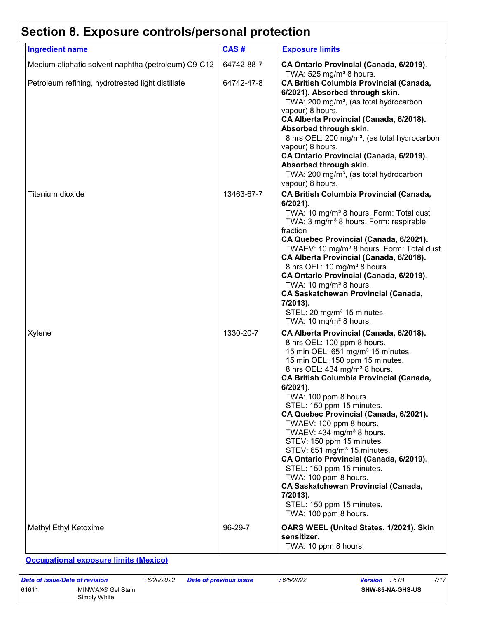## **Section 8. Exposure controls/personal protection**

| <b>Ingredient name</b>                              | CAS#       | <b>Exposure limits</b>                                                                                                                                                                                                                                                                                                                                                                                                                                                                                                                                                                                                                                                                                                             |
|-----------------------------------------------------|------------|------------------------------------------------------------------------------------------------------------------------------------------------------------------------------------------------------------------------------------------------------------------------------------------------------------------------------------------------------------------------------------------------------------------------------------------------------------------------------------------------------------------------------------------------------------------------------------------------------------------------------------------------------------------------------------------------------------------------------------|
| Medium aliphatic solvent naphtha (petroleum) C9-C12 | 64742-88-7 | CA Ontario Provincial (Canada, 6/2019).<br>TWA: $525$ mg/m <sup>3</sup> 8 hours.                                                                                                                                                                                                                                                                                                                                                                                                                                                                                                                                                                                                                                                   |
| Petroleum refining, hydrotreated light distillate   | 64742-47-8 | <b>CA British Columbia Provincial (Canada,</b><br>6/2021). Absorbed through skin.<br>TWA: 200 mg/m <sup>3</sup> , (as total hydrocarbon<br>vapour) 8 hours.<br>CA Alberta Provincial (Canada, 6/2018).<br>Absorbed through skin.<br>8 hrs OEL: 200 mg/m <sup>3</sup> , (as total hydrocarbon<br>vapour) 8 hours.<br>CA Ontario Provincial (Canada, 6/2019).<br>Absorbed through skin.<br>TWA: 200 mg/m <sup>3</sup> , (as total hydrocarbon<br>vapour) 8 hours.                                                                                                                                                                                                                                                                    |
| Titanium dioxide                                    | 13463-67-7 | <b>CA British Columbia Provincial (Canada,</b><br>$6/2021$ ).<br>TWA: 10 mg/m <sup>3</sup> 8 hours. Form: Total dust<br>TWA: 3 mg/m <sup>3</sup> 8 hours. Form: respirable<br>fraction<br>CA Quebec Provincial (Canada, 6/2021).<br>TWAEV: 10 mg/m <sup>3</sup> 8 hours. Form: Total dust.<br>CA Alberta Provincial (Canada, 6/2018).<br>8 hrs OEL: 10 mg/m <sup>3</sup> 8 hours.<br>CA Ontario Provincial (Canada, 6/2019).<br>TWA: 10 mg/m <sup>3</sup> 8 hours.<br><b>CA Saskatchewan Provincial (Canada,</b><br>7/2013).<br>STEL: 20 mg/m <sup>3</sup> 15 minutes.<br>TWA: 10 mg/m <sup>3</sup> 8 hours.                                                                                                                       |
| Xylene                                              | 1330-20-7  | CA Alberta Provincial (Canada, 6/2018).<br>8 hrs OEL: 100 ppm 8 hours.<br>15 min OEL: 651 mg/m <sup>3</sup> 15 minutes.<br>15 min OEL: 150 ppm 15 minutes.<br>8 hrs OEL: 434 mg/m <sup>3</sup> 8 hours.<br><b>CA British Columbia Provincial (Canada,</b><br>6/2021).<br>TWA: 100 ppm 8 hours.<br>STEL: 150 ppm 15 minutes.<br>CA Quebec Provincial (Canada, 6/2021).<br>TWAEV: 100 ppm 8 hours.<br>TWAEV: 434 mg/m <sup>3</sup> 8 hours.<br>STEV: 150 ppm 15 minutes.<br>STEV: 651 mg/m <sup>3</sup> 15 minutes.<br>CA Ontario Provincial (Canada, 6/2019).<br>STEL: 150 ppm 15 minutes.<br>TWA: 100 ppm 8 hours.<br><b>CA Saskatchewan Provincial (Canada,</b><br>7/2013).<br>STEL: 150 ppm 15 minutes.<br>TWA: 100 ppm 8 hours. |
| Methyl Ethyl Ketoxime                               | 96-29-7    | OARS WEEL (United States, 1/2021). Skin<br>sensitizer.<br>TWA: 10 ppm 8 hours.                                                                                                                                                                                                                                                                                                                                                                                                                                                                                                                                                                                                                                                     |

**Occupational exposure limits (Mexico)**

| Date of issue/Date of revision |                                   | : 6/20/2022 | <b>Date of previous issue</b> | : 6/5/2022 | <b>Version</b> : 6.01 |                         | 7/17 |
|--------------------------------|-----------------------------------|-------------|-------------------------------|------------|-----------------------|-------------------------|------|
| 61611                          | MINWAX® Gel Stain<br>Simply White |             |                               |            |                       | <b>SHW-85-NA-GHS-US</b> |      |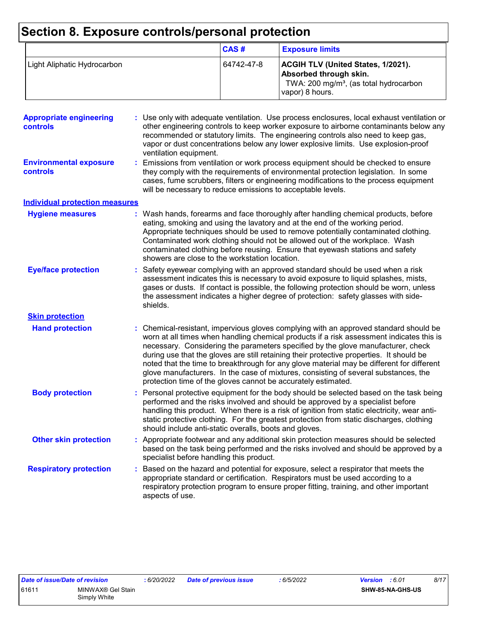## **Section 8. Exposure controls/personal protection**

|                             | CAS#       | <b>Exposure limits</b>                                                                                                                       |
|-----------------------------|------------|----------------------------------------------------------------------------------------------------------------------------------------------|
| Light Aliphatic Hydrocarbon | 64742-47-8 | <b>ACGIH TLV (United States, 1/2021).</b><br>Absorbed through skin.<br>TWA: 200 mg/m <sup>3</sup> , (as total hydrocarbon<br>vapor) 8 hours. |

| <b>Appropriate engineering</b><br><b>controls</b> | : Use only with adequate ventilation. Use process enclosures, local exhaust ventilation or<br>other engineering controls to keep worker exposure to airborne contaminants below any<br>recommended or statutory limits. The engineering controls also need to keep gas,<br>vapor or dust concentrations below any lower explosive limits. Use explosion-proof<br>ventilation equipment.                                                                                                                                                                                                                                |
|---------------------------------------------------|------------------------------------------------------------------------------------------------------------------------------------------------------------------------------------------------------------------------------------------------------------------------------------------------------------------------------------------------------------------------------------------------------------------------------------------------------------------------------------------------------------------------------------------------------------------------------------------------------------------------|
| <b>Environmental exposure</b><br><b>controls</b>  | Emissions from ventilation or work process equipment should be checked to ensure<br>they comply with the requirements of environmental protection legislation. In some<br>cases, fume scrubbers, filters or engineering modifications to the process equipment<br>will be necessary to reduce emissions to acceptable levels.                                                                                                                                                                                                                                                                                          |
| <b>Individual protection measures</b>             |                                                                                                                                                                                                                                                                                                                                                                                                                                                                                                                                                                                                                        |
| <b>Hygiene measures</b>                           | : Wash hands, forearms and face thoroughly after handling chemical products, before<br>eating, smoking and using the lavatory and at the end of the working period.<br>Appropriate techniques should be used to remove potentially contaminated clothing.<br>Contaminated work clothing should not be allowed out of the workplace. Wash<br>contaminated clothing before reusing. Ensure that eyewash stations and safety<br>showers are close to the workstation location.                                                                                                                                            |
| <b>Eye/face protection</b>                        | : Safety eyewear complying with an approved standard should be used when a risk<br>assessment indicates this is necessary to avoid exposure to liquid splashes, mists,<br>gases or dusts. If contact is possible, the following protection should be worn, unless<br>the assessment indicates a higher degree of protection: safety glasses with side-<br>shields.                                                                                                                                                                                                                                                     |
| <b>Skin protection</b>                            |                                                                                                                                                                                                                                                                                                                                                                                                                                                                                                                                                                                                                        |
| <b>Hand protection</b>                            | : Chemical-resistant, impervious gloves complying with an approved standard should be<br>worn at all times when handling chemical products if a risk assessment indicates this is<br>necessary. Considering the parameters specified by the glove manufacturer, check<br>during use that the gloves are still retaining their protective properties. It should be<br>noted that the time to breakthrough for any glove material may be different for different<br>glove manufacturers. In the case of mixtures, consisting of several substances, the<br>protection time of the gloves cannot be accurately estimated. |
| <b>Body protection</b>                            | : Personal protective equipment for the body should be selected based on the task being<br>performed and the risks involved and should be approved by a specialist before<br>handling this product. When there is a risk of ignition from static electricity, wear anti-<br>static protective clothing. For the greatest protection from static discharges, clothing<br>should include anti-static overalls, boots and gloves.                                                                                                                                                                                         |
| <b>Other skin protection</b>                      | : Appropriate footwear and any additional skin protection measures should be selected<br>based on the task being performed and the risks involved and should be approved by a<br>specialist before handling this product.                                                                                                                                                                                                                                                                                                                                                                                              |
| <b>Respiratory protection</b>                     | : Based on the hazard and potential for exposure, select a respirator that meets the<br>appropriate standard or certification. Respirators must be used according to a<br>respiratory protection program to ensure proper fitting, training, and other important<br>aspects of use.                                                                                                                                                                                                                                                                                                                                    |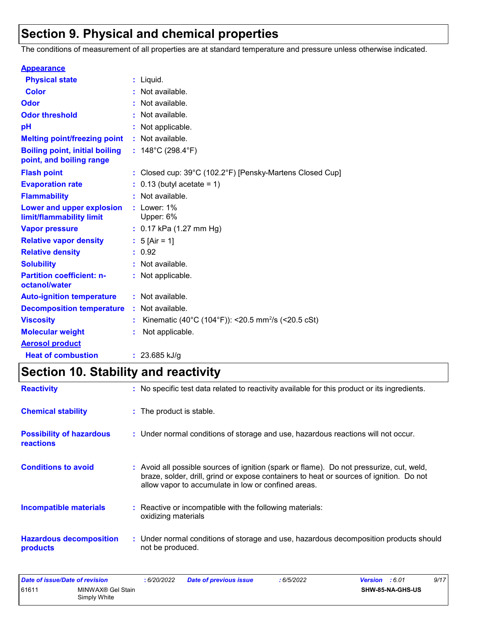## **Section 9. Physical and chemical properties**

The conditions of measurement of all properties are at standard temperature and pressure unless otherwise indicated.

| <b>Appearance</b>                                                 |                                                                |
|-------------------------------------------------------------------|----------------------------------------------------------------|
| <b>Physical state</b>                                             | $:$ Liquid.                                                    |
| <b>Color</b>                                                      | : Not available.                                               |
| Odor                                                              | : Not available.                                               |
| <b>Odor threshold</b>                                             | : Not available.                                               |
| рH                                                                | Not applicable.                                                |
| <b>Melting point/freezing point</b>                               | : Not available.                                               |
| <b>Boiling point, initial boiling</b><br>point, and boiling range | : $148^{\circ}$ C (298.4 $^{\circ}$ F)                         |
| <b>Flash point</b>                                                | : Closed cup: 39°C (102.2°F) [Pensky-Martens Closed Cup]       |
| <b>Evaporation rate</b>                                           | $: 0.13$ (butyl acetate = 1)                                   |
| <b>Flammability</b>                                               | : Not available.                                               |
| Lower and upper explosion<br>limit/flammability limit             | $:$ Lower: 1%<br>Upper: 6%                                     |
| <b>Vapor pressure</b>                                             | : $0.17$ kPa (1.27 mm Hg)                                      |
| <b>Relative vapor density</b>                                     | : $5$ [Air = 1]                                                |
| <b>Relative density</b>                                           | : 0.92                                                         |
| <b>Solubility</b>                                                 | : Not available.                                               |
| <b>Partition coefficient: n-</b><br>octanol/water                 | : Not applicable.                                              |
| <b>Auto-ignition temperature</b>                                  | : Not available.                                               |
| <b>Decomposition temperature</b>                                  | : Not available.                                               |
| <b>Viscosity</b>                                                  | Kinematic (40°C (104°F)): <20.5 mm <sup>2</sup> /s (<20.5 cSt) |
| <b>Molecular weight</b>                                           | Not applicable.                                                |
| <b>Aerosol product</b>                                            |                                                                |
| <b>Heat of combustion</b>                                         | : $23.685$ kJ/g                                                |

## **Section 10. Stability and reactivity**

| <b>Reactivity</b>                                   | : No specific test data related to reactivity available for this product or its ingredients.                                                                                                                                               |
|-----------------------------------------------------|--------------------------------------------------------------------------------------------------------------------------------------------------------------------------------------------------------------------------------------------|
| <b>Chemical stability</b>                           | : The product is stable.                                                                                                                                                                                                                   |
| <b>Possibility of hazardous</b><br><b>reactions</b> | : Under normal conditions of storage and use, hazardous reactions will not occur.                                                                                                                                                          |
| <b>Conditions to avoid</b>                          | : Avoid all possible sources of ignition (spark or flame). Do not pressurize, cut, weld,<br>braze, solder, drill, grind or expose containers to heat or sources of ignition. Do not<br>allow vapor to accumulate in low or confined areas. |
| <b>Incompatible materials</b>                       | : Reactive or incompatible with the following materials:<br>oxidizing materials                                                                                                                                                            |
| <b>Hazardous decomposition</b><br>products          | : Under normal conditions of storage and use, hazardous decomposition products should<br>not be produced.                                                                                                                                  |

| Date of issue/Date of revision |                                   | : 6/20/2022 | Date of previous issue | 6/5/2022 | <b>Version</b> : 6.01 | 9/17 |
|--------------------------------|-----------------------------------|-------------|------------------------|----------|-----------------------|------|
| 61611                          | MINWAX® Gel Stain<br>Simply White |             |                        |          | SHW-85-NA-GHS-US      |      |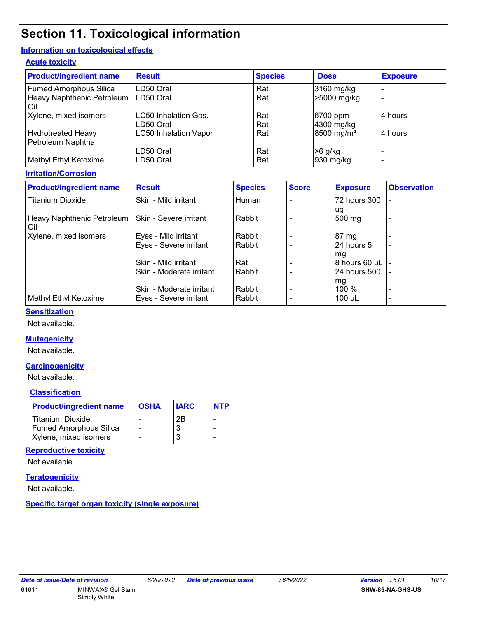## **Section 11. Toxicological information**

#### **Information on toxicological effects**

#### **Acute toxicity**

| <b>Product/ingredient name</b>    | <b>Result</b>                | <b>Species</b> | <b>Dose</b>              | <b>Exposure</b> |
|-----------------------------------|------------------------------|----------------|--------------------------|-----------------|
| <b>Fumed Amorphous Silica</b>     | LD50 Oral                    | Rat            | 3160 mg/kg               |                 |
| Heavy Naphthenic Petroleum<br>Oil | LD50 Oral                    | Rat            | >5000 mg/kg              |                 |
| Xylene, mixed isomers             | LC50 Inhalation Gas.         | Rat            | 6700 ppm                 | 4 hours         |
|                                   | LD50 Oral                    | Rat            | 4300 mg/kg               |                 |
| Hydrotreated Heavy                | <b>LC50 Inhalation Vapor</b> | Rat            | $8500$ mg/m <sup>3</sup> | 4 hours         |
| Petroleum Naphtha                 |                              |                |                          |                 |
|                                   | LD50 Oral                    | Rat            | $>6$ g/kg                |                 |
| Methyl Ethyl Ketoxime             | LD50 Oral                    | Rat            | 930 mg/kg                |                 |

#### **Irritation/Corrosion**

| <b>Product/ingredient name</b>      | <b>Result</b>            | <b>Species</b> | <b>Score</b> | <b>Exposure</b> | <b>Observation</b>       |
|-------------------------------------|--------------------------|----------------|--------------|-----------------|--------------------------|
| <b>Titanium Dioxide</b>             | Skin - Mild irritant     | Human          |              | 72 hours 300    |                          |
| Heavy Naphthenic Petroleum<br>l Oil | Skin - Severe irritant   | l Rabbit       |              | ug l<br>500 mg  |                          |
| Xylene, mixed isomers               | Eyes - Mild irritant     | Rabbit         |              | 87 mg           |                          |
|                                     | Eyes - Severe irritant   | l Rabbit       |              | 24 hours 5      |                          |
|                                     |                          |                |              | mg              |                          |
|                                     | Skin - Mild irritant     | l Rat          |              | 8 hours 60 uL   |                          |
|                                     | Skin - Moderate irritant | l Rabbit       |              | 24 hours 500    |                          |
|                                     |                          |                |              | mg              |                          |
|                                     | Skin - Moderate irritant | Rabbit         |              | 100 %           | $\overline{\phantom{0}}$ |
| Methyl Ethyl Ketoxime               | Eyes - Severe irritant   | l Rabbit       |              | 100 uL          | $\overline{\phantom{0}}$ |

#### **Sensitization**

Not available.

#### **Mutagenicity**

Not available.

#### **Carcinogenicity**

Not available.

#### **Classification**

| <b>Product/ingredient name</b> | <b>OSHA</b> | <b>IARC</b> | <b>NTP</b> |
|--------------------------------|-------------|-------------|------------|
| Titanium Dioxide               |             | 2Β          |            |
| <b>Fumed Amorphous Silica</b>  |             |             |            |
| Xylene, mixed isomers          |             |             |            |

#### **Reproductive toxicity**

Not available.

#### **Teratogenicity**

Not available.

**Specific target organ toxicity (single exposure)**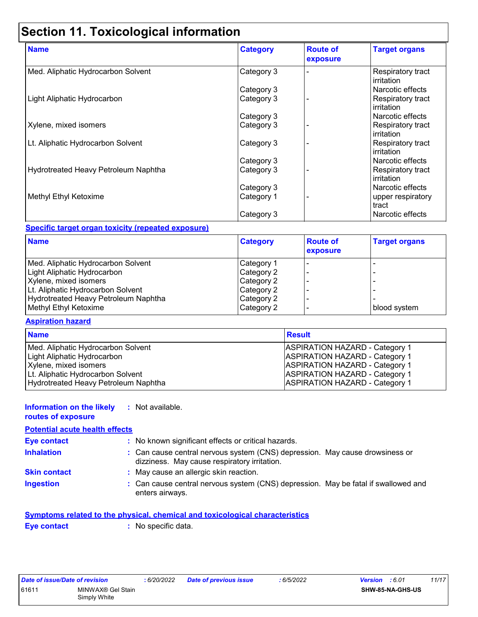## **Section 11. Toxicological information**

| <b>Name</b>                          | <b>Category</b> | <b>Route of</b><br>exposure | <b>Target organs</b>                          |
|--------------------------------------|-----------------|-----------------------------|-----------------------------------------------|
| Med. Aliphatic Hydrocarbon Solvent   | Category 3      |                             | Respiratory tract<br><b>irritation</b>        |
|                                      | Category 3      |                             | Narcotic effects                              |
| Light Aliphatic Hydrocarbon          | Category 3      |                             | Respiratory tract<br><b>irritation</b>        |
|                                      | Category 3      |                             | Narcotic effects                              |
| Xylene, mixed isomers                | Category 3      |                             | Respiratory tract<br>l irritation.            |
| Lt. Aliphatic Hydrocarbon Solvent    | Category 3      |                             | <b>Respiratory tract</b><br>l irritation      |
|                                      | Category 3      |                             | Narcotic effects                              |
| Hydrotreated Heavy Petroleum Naphtha | Category 3      |                             | <b>Respiratory tract</b><br><b>irritation</b> |
|                                      | Category 3      |                             | Narcotic effects                              |
| Methyl Ethyl Ketoxime                | Category 1      |                             | upper respiratory<br>tract                    |
|                                      | Category 3      |                             | Narcotic effects                              |

#### **Specific target organ toxicity (repeated exposure)**

| <b>Name</b>                          | <b>Category</b> | <b>Route of</b><br>exposure | <b>Target organs</b> |
|--------------------------------------|-----------------|-----------------------------|----------------------|
| Med. Aliphatic Hydrocarbon Solvent   | Category 1      |                             |                      |
| Light Aliphatic Hydrocarbon          | Category 2      |                             |                      |
| Xylene, mixed isomers                | Category 2      |                             |                      |
| Lt. Aliphatic Hydrocarbon Solvent    | Category 2      |                             |                      |
| Hydrotreated Heavy Petroleum Naphtha | Category 2      |                             |                      |
| Methyl Ethyl Ketoxime                | Category 2      |                             | blood system         |

#### **Aspiration hazard**

| <b>Name</b>                          | <b>Result</b>                         |
|--------------------------------------|---------------------------------------|
| Med. Aliphatic Hydrocarbon Solvent   | <b>ASPIRATION HAZARD - Category 1</b> |
| Light Aliphatic Hydrocarbon          | <b>ASPIRATION HAZARD - Category 1</b> |
| Xylene, mixed isomers                | <b>ASPIRATION HAZARD - Category 1</b> |
| Lt. Aliphatic Hydrocarbon Solvent    | <b>ASPIRATION HAZARD - Category 1</b> |
| Hydrotreated Heavy Petroleum Naphtha | <b>ASPIRATION HAZARD - Category 1</b> |

#### **Information on the likely :** Not available.

#### **routes of exposure**

| <b>Potential acute health effects</b> |                                                                                                                              |  |  |  |
|---------------------------------------|------------------------------------------------------------------------------------------------------------------------------|--|--|--|
| <b>Eye contact</b>                    | : No known significant effects or critical hazards.                                                                          |  |  |  |
| <b>Inhalation</b>                     | : Can cause central nervous system (CNS) depression. May cause drowsiness or<br>dizziness. May cause respiratory irritation. |  |  |  |
| <b>Skin contact</b>                   | : May cause an allergic skin reaction.                                                                                       |  |  |  |
| <b>Ingestion</b>                      | : Can cause central nervous system (CNS) depression. May be fatal if swallowed and<br>enters airways.                        |  |  |  |

#### **Symptoms related to the physical, chemical and toxicological characteristics**

**Eye contact :** No specific data.

| Date of issue/Date of revision |                   | : 6/20/2022 | Date of previous issue | :6/5/2022 | <b>Version</b> : 6.01   | 11/17 |
|--------------------------------|-------------------|-------------|------------------------|-----------|-------------------------|-------|
| 61611                          | MINWAX® Gel Stain |             |                        |           | <b>SHW-85-NA-GHS-US</b> |       |
|                                | Simply White      |             |                        |           |                         |       |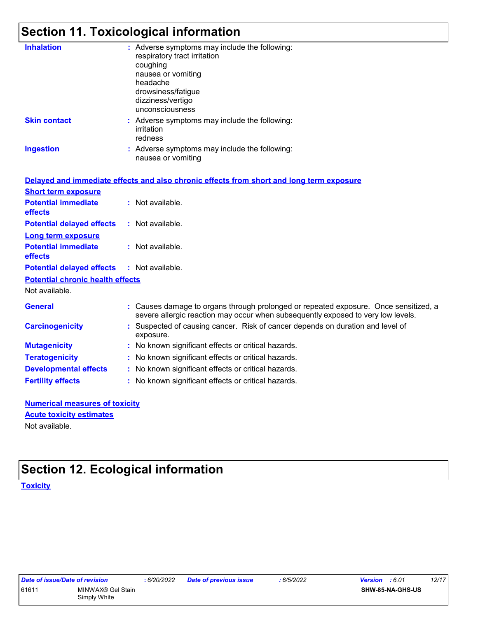## **Section 11. Toxicological information**

| <b>Inhalation</b>                       | : Adverse symptoms may include the following:<br>respiratory tract irritation<br>coughing<br>nausea or vomiting<br>headache<br>drowsiness/fatigue<br>dizziness/vertigo<br>unconsciousness |
|-----------------------------------------|-------------------------------------------------------------------------------------------------------------------------------------------------------------------------------------------|
| <b>Skin contact</b>                     | : Adverse symptoms may include the following:<br>irritation<br>redness                                                                                                                    |
| <b>Ingestion</b>                        | : Adverse symptoms may include the following:<br>nausea or vomiting                                                                                                                       |
|                                         | Delayed and immediate effects and also chronic effects from short and long term exposure                                                                                                  |
| <b>Short term exposure</b>              |                                                                                                                                                                                           |
| <b>Potential immediate</b><br>effects   | : Not available.                                                                                                                                                                          |
| <b>Potential delayed effects</b>        | : Not available.                                                                                                                                                                          |
| <b>Long term exposure</b>               |                                                                                                                                                                                           |
| <b>Potential immediate</b><br>effects   | : Not available.                                                                                                                                                                          |
| <b>Potential delayed effects</b>        | : Not available.                                                                                                                                                                          |
| <b>Potential chronic health effects</b> |                                                                                                                                                                                           |
| Not available.                          |                                                                                                                                                                                           |
| <b>General</b>                          | : Causes damage to organs through prolonged or repeated exposure. Once sensitized, a<br>severe allergic reaction may occur when subsequently exposed to very low levels.                  |
| <b>Carcinogenicity</b>                  | : Suspected of causing cancer. Risk of cancer depends on duration and level of<br>exposure.                                                                                               |
| <b>Mutagenicity</b>                     | : No known significant effects or critical hazards.                                                                                                                                       |
| <b>Teratogenicity</b>                   | : No known significant effects or critical hazards.                                                                                                                                       |
| <b>Developmental effects</b>            | : No known significant effects or critical hazards.                                                                                                                                       |
| <b>Fertility effects</b>                | : No known significant effects or critical hazards.                                                                                                                                       |
|                                         |                                                                                                                                                                                           |

| <b>Numerical measures of toxicity</b> |  |
|---------------------------------------|--|
| <b>Acute toxicity estimates</b>       |  |
| Not available.                        |  |

## **Section 12. Ecological information**

**Toxicity**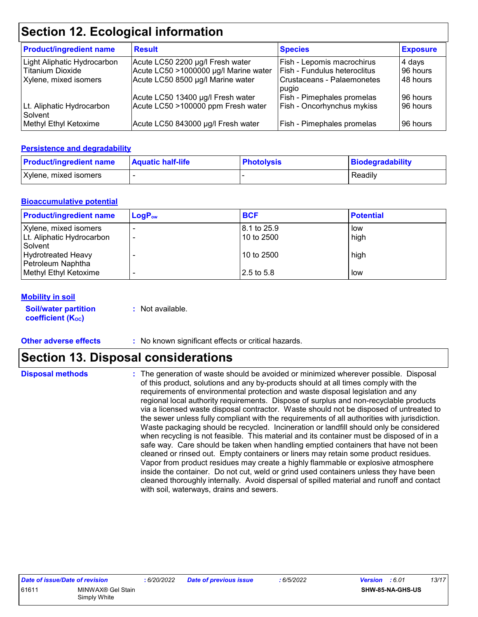### **Section 12. Ecological information**

| <b>Product/ingredient name</b>       | <b>Result</b>                         | <b>Species</b>               | <b>Exposure</b> |
|--------------------------------------|---------------------------------------|------------------------------|-----------------|
| Light Aliphatic Hydrocarbon          | Acute LC50 2200 µg/l Fresh water      | Fish - Lepomis macrochirus   | 4 days          |
| Titanium Dioxide                     | Acute LC50 >1000000 µg/l Marine water | Fish - Fundulus heteroclitus | 96 hours        |
| Xylene, mixed isomers                | Acute LC50 8500 µg/l Marine water     | Crustaceans - Palaemonetes   | 48 hours        |
|                                      |                                       | pugio                        |                 |
|                                      | Acute LC50 13400 µg/l Fresh water     | Fish - Pimephales promelas   | 96 hours        |
| Lt. Aliphatic Hydrocarbon<br>Solvent | Acute LC50 >100000 ppm Fresh water    | Fish - Oncorhynchus mykiss   | 96 hours        |
| Methyl Ethyl Ketoxime                | Acute LC50 843000 µg/l Fresh water    | Fish - Pimephales promelas   | 96 hours        |

#### **Persistence and degradability**

| <b>Product/ingredient name</b> | <b>Aquatic half-life</b> | <b>Photolysis</b> | Biodegradability |
|--------------------------------|--------------------------|-------------------|------------------|
| Xylene, mixed isomers          |                          |                   | Readily          |

#### **Bioaccumulative potential**

| <b>Product/ingredient name</b>                            | $LogP_{ow}$ | <b>BCF</b>                  | <b>Potential</b> |
|-----------------------------------------------------------|-------------|-----------------------------|------------------|
| Xylene, mixed isomers<br>Lt. Aliphatic Hydrocarbon        |             | l 8.1 to 25.9<br>10 to 2500 | low<br>high      |
| Solvent<br><b>Hydrotreated Heavy</b><br>Petroleum Naphtha |             | 10 to 2500                  | high             |
| Methyl Ethyl Ketoxime                                     |             | 2.5 to 5.8                  | low              |

#### **Mobility in soil**

**Soil/water partition coefficient (K**<sub>oc</sub>)

**:** Not available.

**Other adverse effects** : No known significant effects or critical hazards.

## **Section 13. Disposal considerations**

**Disposal methods :**

The generation of waste should be avoided or minimized wherever possible. Disposal of this product, solutions and any by-products should at all times comply with the requirements of environmental protection and waste disposal legislation and any regional local authority requirements. Dispose of surplus and non-recyclable products via a licensed waste disposal contractor. Waste should not be disposed of untreated to the sewer unless fully compliant with the requirements of all authorities with jurisdiction. Waste packaging should be recycled. Incineration or landfill should only be considered when recycling is not feasible. This material and its container must be disposed of in a safe way. Care should be taken when handling emptied containers that have not been cleaned or rinsed out. Empty containers or liners may retain some product residues. Vapor from product residues may create a highly flammable or explosive atmosphere inside the container. Do not cut, weld or grind used containers unless they have been cleaned thoroughly internally. Avoid dispersal of spilled material and runoff and contact with soil, waterways, drains and sewers.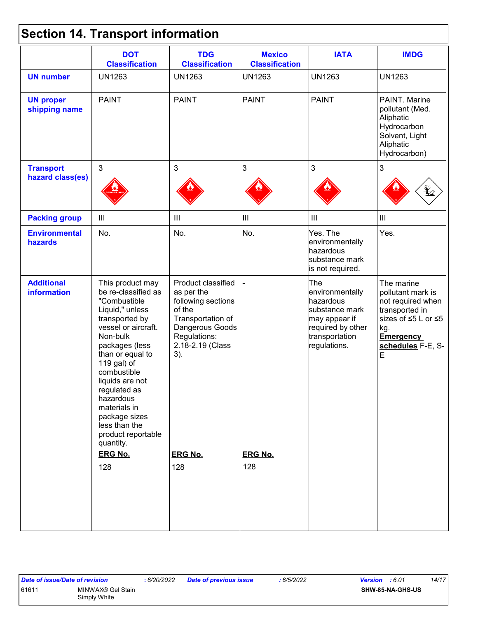## **Section 14. Transport information**

|                                         | <b>DOT</b><br><b>Classification</b>                                                                                                                                                                                                                                                                                                                               | <b>TDG</b><br><b>Classification</b>                                                                                                                                          | <b>Mexico</b><br><b>Classification</b> | <b>IATA</b>                                                                                                                   | <b>IMDG</b>                                                                                                                                        |
|-----------------------------------------|-------------------------------------------------------------------------------------------------------------------------------------------------------------------------------------------------------------------------------------------------------------------------------------------------------------------------------------------------------------------|------------------------------------------------------------------------------------------------------------------------------------------------------------------------------|----------------------------------------|-------------------------------------------------------------------------------------------------------------------------------|----------------------------------------------------------------------------------------------------------------------------------------------------|
| <b>UN number</b>                        | <b>UN1263</b>                                                                                                                                                                                                                                                                                                                                                     | <b>UN1263</b>                                                                                                                                                                | <b>UN1263</b>                          | <b>UN1263</b>                                                                                                                 | <b>UN1263</b>                                                                                                                                      |
| <b>UN proper</b><br>shipping name       | <b>PAINT</b>                                                                                                                                                                                                                                                                                                                                                      | <b>PAINT</b>                                                                                                                                                                 | <b>PAINT</b>                           | <b>PAINT</b>                                                                                                                  | PAINT. Marine<br>pollutant (Med.<br>Aliphatic<br>Hydrocarbon<br>Solvent, Light<br>Aliphatic<br>Hydrocarbon)                                        |
| <b>Transport</b>                        | $\mathbf{3}$                                                                                                                                                                                                                                                                                                                                                      | 3                                                                                                                                                                            | $\mathbf{3}$                           | 3                                                                                                                             | $\mathfrak{S}$                                                                                                                                     |
| hazard class(es)                        |                                                                                                                                                                                                                                                                                                                                                                   |                                                                                                                                                                              |                                        |                                                                                                                               |                                                                                                                                                    |
| <b>Packing group</b>                    | $\mathop{\rm III}$                                                                                                                                                                                                                                                                                                                                                | Ш                                                                                                                                                                            | $\ensuremath{\mathsf{III}}\xspace$     | $\mathop{\rm III}$                                                                                                            | $\ensuremath{\mathsf{III}}\xspace$                                                                                                                 |
| <b>Environmental</b><br>hazards         | No.                                                                                                                                                                                                                                                                                                                                                               | No.                                                                                                                                                                          | No.                                    | Yes. The<br>environmentally<br>hazardous<br>substance mark<br>is not required.                                                | Yes.                                                                                                                                               |
| <b>Additional</b><br><b>information</b> | This product may<br>be re-classified as<br>"Combustible<br>Liquid," unless<br>transported by<br>vessel or aircraft.<br>Non-bulk<br>packages (less<br>than or equal to<br>119 gal) of<br>combustible<br>liquids are not<br>regulated as<br>hazardous<br>materials in<br>package sizes<br>less than the<br>product reportable<br>quantity.<br><b>ERG No.</b><br>128 | Product classified<br>as per the<br>following sections<br>of the<br>Transportation of<br>Dangerous Goods<br>Regulations:<br>2.18-2.19 (Class<br>3).<br><b>ERG No.</b><br>128 | <b>ERG No.</b><br>128                  | The<br>environmentally<br>hazardous<br>substance mark<br>may appear if<br>required by other<br>transportation<br>regulations. | The marine<br>pollutant mark is<br>not required when<br>transported in<br>sizes of ≤5 L or ≤5<br>kg.<br><b>Emergency</b><br>schedules F-E, S-<br>E |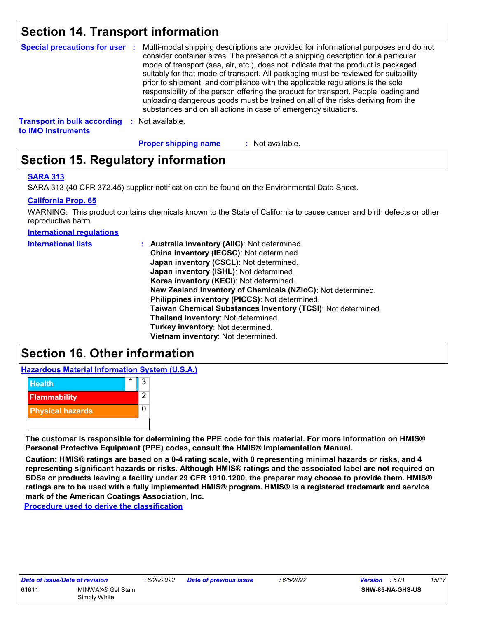### **Section 14. Transport information**

| <b>Special precautions for user :</b>                    |          | Multi-modal shipping descriptions are provided for informational purposes and do not<br>consider container sizes. The presence of a shipping description for a particular<br>mode of transport (sea, air, etc.), does not indicate that the product is packaged<br>suitably for that mode of transport. All packaging must be reviewed for suitability<br>prior to shipment, and compliance with the applicable regulations is the sole<br>responsibility of the person offering the product for transport. People loading and<br>unloading dangerous goods must be trained on all of the risks deriving from the<br>substances and on all actions in case of emergency situations. |
|----------------------------------------------------------|----------|-------------------------------------------------------------------------------------------------------------------------------------------------------------------------------------------------------------------------------------------------------------------------------------------------------------------------------------------------------------------------------------------------------------------------------------------------------------------------------------------------------------------------------------------------------------------------------------------------------------------------------------------------------------------------------------|
| <b>Transport in bulk according</b><br>to IMO instruments | <b>P</b> | Not available.                                                                                                                                                                                                                                                                                                                                                                                                                                                                                                                                                                                                                                                                      |

**Proper shipping name :**

: Not available.

### **Section 15. Regulatory information**

#### **SARA 313**

SARA 313 (40 CFR 372.45) supplier notification can be found on the Environmental Data Sheet.

#### **California Prop. 65**

WARNING: This product contains chemicals known to the State of California to cause cancer and birth defects or other reproductive harm.

**International regulations**

| <b>International lists</b> | : Australia inventory (AIIC): Not determined.                |
|----------------------------|--------------------------------------------------------------|
|                            | China inventory (IECSC): Not determined.                     |
|                            | Japan inventory (CSCL): Not determined.                      |
|                            | Japan inventory (ISHL): Not determined.                      |
|                            | Korea inventory (KECI): Not determined.                      |
|                            | New Zealand Inventory of Chemicals (NZIoC): Not determined.  |
|                            | Philippines inventory (PICCS): Not determined.               |
|                            | Taiwan Chemical Substances Inventory (TCSI): Not determined. |
|                            | Thailand inventory: Not determined.                          |
|                            | Turkey inventory: Not determined.                            |
|                            | Vietnam inventory: Not determined.                           |

### **Section 16. Other information**

**Hazardous Material Information System (U.S.A.)**



**The customer is responsible for determining the PPE code for this material. For more information on HMIS® Personal Protective Equipment (PPE) codes, consult the HMIS® Implementation Manual.**

**Caution: HMIS® ratings are based on a 0-4 rating scale, with 0 representing minimal hazards or risks, and 4 representing significant hazards or risks. Although HMIS® ratings and the associated label are not required on SDSs or products leaving a facility under 29 CFR 1910.1200, the preparer may choose to provide them. HMIS® ratings are to be used with a fully implemented HMIS® program. HMIS® is a registered trademark and service mark of the American Coatings Association, Inc.**

**Procedure used to derive the classification**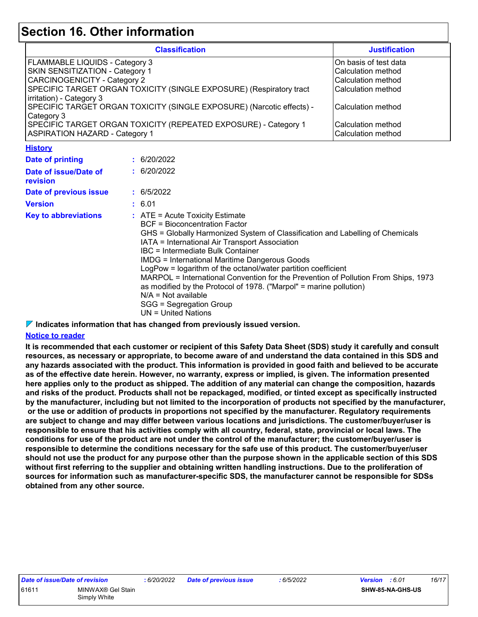### **Section 16. Other information**

| <b>Classification</b>                                                 | <b>Justification</b>  |
|-----------------------------------------------------------------------|-----------------------|
| <b>FLAMMABLE LIQUIDS - Category 3</b>                                 | On basis of test data |
| <b>SKIN SENSITIZATION - Category 1</b>                                | Calculation method    |
| <b>CARCINOGENICITY - Category 2</b>                                   | Calculation method    |
| SPECIFIC TARGET ORGAN TOXICITY (SINGLE EXPOSURE) (Respiratory tract   | Calculation method    |
| irritation) - Category 3                                              |                       |
| SPECIFIC TARGET ORGAN TOXICITY (SINGLE EXPOSURE) (Narcotic effects) - | Calculation method    |
| Category 3                                                            |                       |
| SPECIFIC TARGET ORGAN TOXICITY (REPEATED EXPOSURE) - Category 1       | Calculation method    |
| <b>ASPIRATION HAZARD - Category 1</b>                                 | Calculation method    |

**History**

| Date of printing                  | : 6/20/2022                                                                                                                                                                                                                                                                                                                                                                                                                                                                                                                                                                                                  |
|-----------------------------------|--------------------------------------------------------------------------------------------------------------------------------------------------------------------------------------------------------------------------------------------------------------------------------------------------------------------------------------------------------------------------------------------------------------------------------------------------------------------------------------------------------------------------------------------------------------------------------------------------------------|
| Date of issue/Date of<br>revision | : 6/20/2022                                                                                                                                                                                                                                                                                                                                                                                                                                                                                                                                                                                                  |
| Date of previous issue            | : 6/5/2022                                                                                                                                                                                                                                                                                                                                                                                                                                                                                                                                                                                                   |
| <b>Version</b>                    | : 6.01                                                                                                                                                                                                                                                                                                                                                                                                                                                                                                                                                                                                       |
| <b>Key to abbreviations</b>       | $\therefore$ ATE = Acute Toxicity Estimate<br>BCF = Bioconcentration Factor<br>GHS = Globally Harmonized System of Classification and Labelling of Chemicals<br>IATA = International Air Transport Association<br>IBC = Intermediate Bulk Container<br>IMDG = International Maritime Dangerous Goods<br>LogPow = logarithm of the octanol/water partition coefficient<br>MARPOL = International Convention for the Prevention of Pollution From Ships, 1973<br>as modified by the Protocol of 1978. ("Marpol" = marine pollution)<br>$N/A = Not available$<br>SGG = Segregation Group<br>UN = United Nations |

**Indicates information that has changed from previously issued version.**

#### **Notice to reader**

**It is recommended that each customer or recipient of this Safety Data Sheet (SDS) study it carefully and consult resources, as necessary or appropriate, to become aware of and understand the data contained in this SDS and any hazards associated with the product. This information is provided in good faith and believed to be accurate as of the effective date herein. However, no warranty, express or implied, is given. The information presented here applies only to the product as shipped. The addition of any material can change the composition, hazards and risks of the product. Products shall not be repackaged, modified, or tinted except as specifically instructed by the manufacturer, including but not limited to the incorporation of products not specified by the manufacturer, or the use or addition of products in proportions not specified by the manufacturer. Regulatory requirements are subject to change and may differ between various locations and jurisdictions. The customer/buyer/user is responsible to ensure that his activities comply with all country, federal, state, provincial or local laws. The conditions for use of the product are not under the control of the manufacturer; the customer/buyer/user is responsible to determine the conditions necessary for the safe use of this product. The customer/buyer/user should not use the product for any purpose other than the purpose shown in the applicable section of this SDS without first referring to the supplier and obtaining written handling instructions. Due to the proliferation of sources for information such as manufacturer-specific SDS, the manufacturer cannot be responsible for SDSs obtained from any other source.**